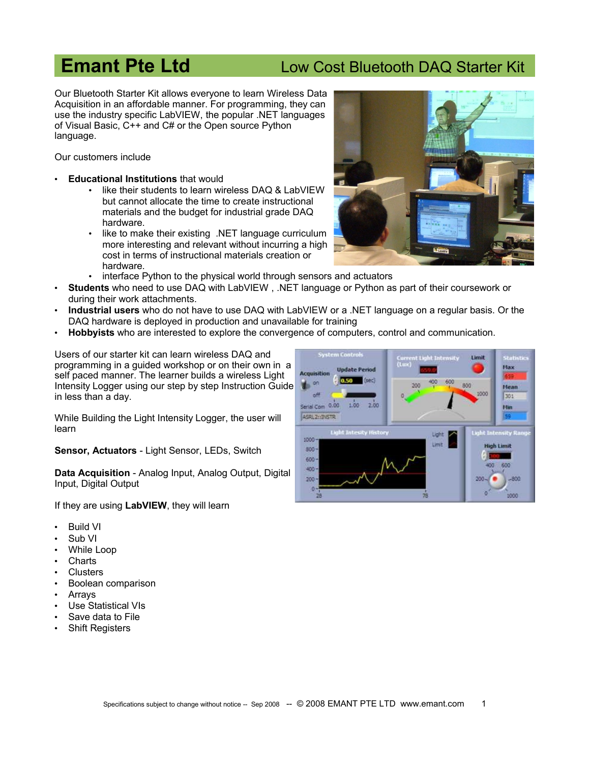## **Emant Pte Ltd Low Cost Bluetooth DAQ Starter Kit**

Our Bluetooth Starter Kit allows everyone to learn Wireless Data Acquisition in an affordable manner. For programming, they can use the industry specific LabVIEW, the popular .NET languages of Visual Basic, C++ and C# or the Open source Python language.

Our customers include

- **Educational Institutions** that would
	- like their students to learn wireless DAQ & LabVIEW but cannot allocate the time to create instructional materials and the budget for industrial grade DAQ hardware.
	- like to make their existing .NET language curriculum more interesting and relevant without incurring a high cost in terms of instructional materials creation or hardware.
	- interface Python to the physical world through sensors and actuators
- **Students** who need to use DAQ with LabVIEW , .NET language or Python as part of their coursework or during their work attachments.
- **Industrial users** who do not have to use DAQ with LabVIEW or a .NET language on a regular basis. Or the DAQ hardware is deployed in production and unavailable for training
- **Hobbyists** who are interested to explore the convergence of computers, control and communication.

Users of our starter kit can learn wireless DAQ and programming in a guided workshop or on their own in a self paced manner. The learner builds a wireless Light Intensity Logger using our step by step Instruction Guide in less than a day.

While Building the Light Intensity Logger, the user will learn

**Sensor, Actuators** - Light Sensor, LEDs, Switch

**Data Acquisition** - Analog Input, Analog Output, Digital Input, Digital Output

If they are using **LabVIEW**, they will learn

- Build VI
- Sub VI
- While Loop
- **Charts**
- **Clusters**
- Boolean comparison
- **Arrays**
- Use Statistical VIs
- Save data to File
- **Shift Registers**